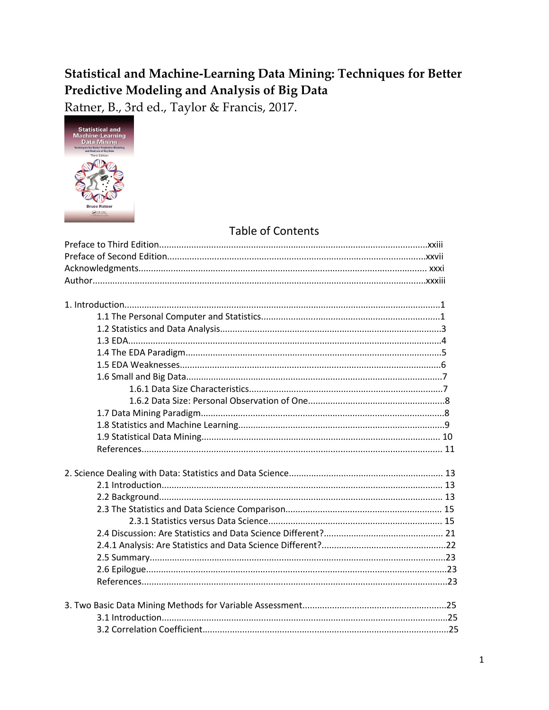## Statistical and Machine-Learning Data Mining: Techniques for Better Predictive Modeling and Analysis of Big Data

Ratner, B., 3rd ed., Taylor & Francis, 2017.



## **Table of Contents**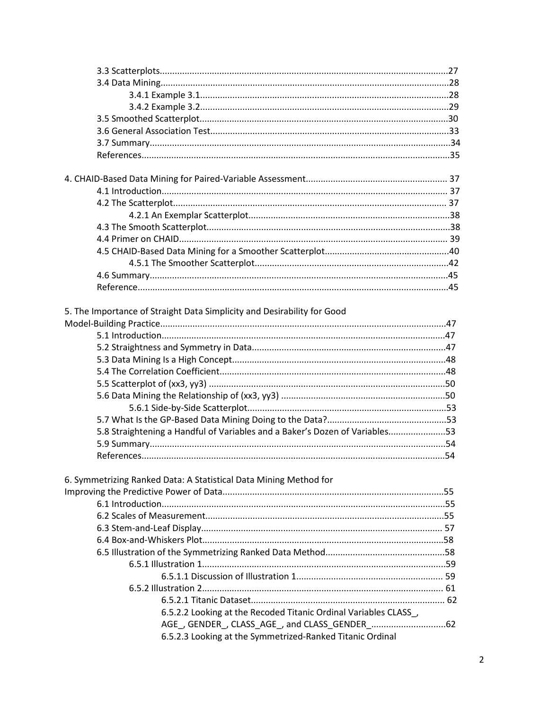| 5. The Importance of Straight Data Simplicity and Desirability for Good     |  |
|-----------------------------------------------------------------------------|--|
|                                                                             |  |
|                                                                             |  |
|                                                                             |  |
|                                                                             |  |
|                                                                             |  |
|                                                                             |  |
|                                                                             |  |
|                                                                             |  |
|                                                                             |  |
| 5.8 Straightening a Handful of Variables and a Baker's Dozen of Variables53 |  |
|                                                                             |  |
|                                                                             |  |
|                                                                             |  |
| 6. Symmetrizing Ranked Data: A Statistical Data Mining Method for           |  |
|                                                                             |  |
|                                                                             |  |
|                                                                             |  |
|                                                                             |  |
|                                                                             |  |
|                                                                             |  |
|                                                                             |  |
|                                                                             |  |
|                                                                             |  |
|                                                                             |  |
| 6.5.2.2 Looking at the Recoded Titanic Ordinal Variables CLASS,             |  |
|                                                                             |  |
| 6.5.2.3 Looking at the Symmetrized-Ranked Titanic Ordinal                   |  |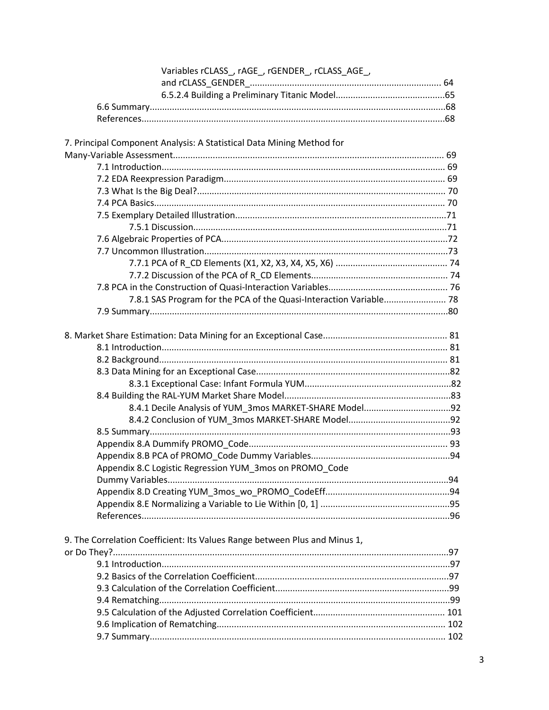| Variables rCLASS_, rAGE_, rGENDER_, rCLASS_AGE_,                           |  |
|----------------------------------------------------------------------------|--|
|                                                                            |  |
|                                                                            |  |
|                                                                            |  |
|                                                                            |  |
| 7. Principal Component Analysis: A Statistical Data Mining Method for      |  |
|                                                                            |  |
|                                                                            |  |
|                                                                            |  |
|                                                                            |  |
|                                                                            |  |
|                                                                            |  |
|                                                                            |  |
|                                                                            |  |
|                                                                            |  |
|                                                                            |  |
|                                                                            |  |
|                                                                            |  |
| 7.8.1 SAS Program for the PCA of the Quasi-Interaction Variable 78         |  |
|                                                                            |  |
|                                                                            |  |
|                                                                            |  |
|                                                                            |  |
|                                                                            |  |
|                                                                            |  |
|                                                                            |  |
|                                                                            |  |
|                                                                            |  |
|                                                                            |  |
|                                                                            |  |
|                                                                            |  |
| Appendix 8.C Logistic Regression YUM_3mos on PROMO_Code                    |  |
|                                                                            |  |
|                                                                            |  |
|                                                                            |  |
|                                                                            |  |
| 9. The Correlation Coefficient: Its Values Range between Plus and Minus 1, |  |
|                                                                            |  |
|                                                                            |  |
|                                                                            |  |
|                                                                            |  |
|                                                                            |  |
|                                                                            |  |
|                                                                            |  |
|                                                                            |  |
|                                                                            |  |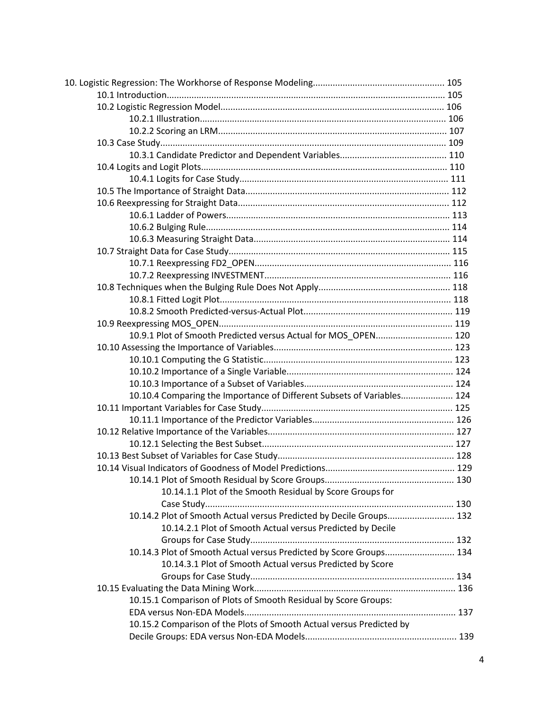| 10.9.1 Plot of Smooth Predicted versus Actual for MOS OPEN 120         |  |
|------------------------------------------------------------------------|--|
|                                                                        |  |
|                                                                        |  |
|                                                                        |  |
|                                                                        |  |
| 10.10.4 Comparing the Importance of Different Subsets of Variables 124 |  |
|                                                                        |  |
|                                                                        |  |
|                                                                        |  |
|                                                                        |  |
|                                                                        |  |
|                                                                        |  |
|                                                                        |  |
| 10.14.1.1 Plot of the Smooth Residual by Score Groups for              |  |
|                                                                        |  |
| 10.14.2 Plot of Smooth Actual versus Predicted by Decile Groups 132    |  |
| 10.14.2.1 Plot of Smooth Actual versus Predicted by Decile             |  |
|                                                                        |  |
| 10.14.3 Plot of Smooth Actual versus Predicted by Score Groups 134     |  |
| 10.14.3.1 Plot of Smooth Actual versus Predicted by Score              |  |
|                                                                        |  |
|                                                                        |  |
| 10.15.1 Comparison of Plots of Smooth Residual by Score Groups:        |  |
|                                                                        |  |
| 10.15.2 Comparison of the Plots of Smooth Actual versus Predicted by   |  |
|                                                                        |  |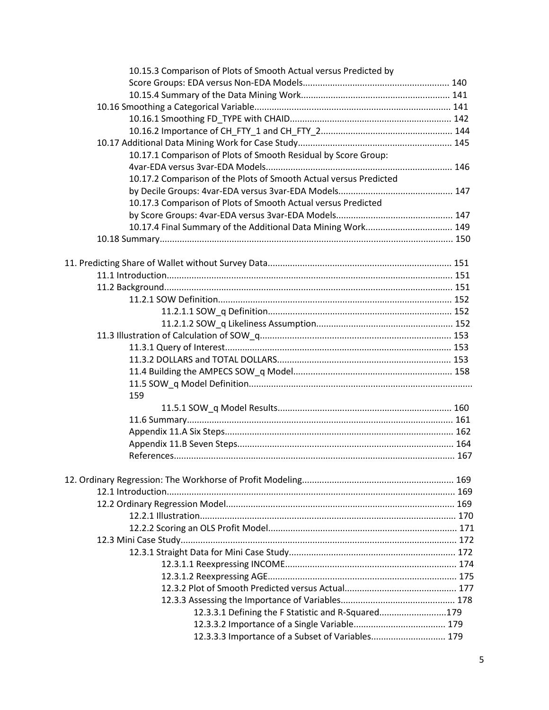| 10.15.3 Comparison of Plots of Smooth Actual versus Predicted by  |  |
|-------------------------------------------------------------------|--|
|                                                                   |  |
|                                                                   |  |
|                                                                   |  |
|                                                                   |  |
|                                                                   |  |
|                                                                   |  |
| 10.17.1 Comparison of Plots of Smooth Residual by Score Group:    |  |
|                                                                   |  |
| 10.17.2 Comparison of the Plots of Smooth Actual versus Predicted |  |
|                                                                   |  |
| 10.17.3 Comparison of Plots of Smooth Actual versus Predicted     |  |
|                                                                   |  |
| 10.17.4 Final Summary of the Additional Data Mining Work 149      |  |
|                                                                   |  |
|                                                                   |  |
|                                                                   |  |
|                                                                   |  |
|                                                                   |  |
|                                                                   |  |
|                                                                   |  |
|                                                                   |  |
|                                                                   |  |
|                                                                   |  |
|                                                                   |  |
|                                                                   |  |
|                                                                   |  |
| 159                                                               |  |
|                                                                   |  |
|                                                                   |  |
|                                                                   |  |
|                                                                   |  |
|                                                                   |  |
|                                                                   |  |
|                                                                   |  |
|                                                                   |  |
|                                                                   |  |
|                                                                   |  |
|                                                                   |  |
|                                                                   |  |
|                                                                   |  |
|                                                                   |  |
|                                                                   |  |
|                                                                   |  |
|                                                                   |  |
| 12.3.3.1 Defining the F Statistic and R-Squared179                |  |
|                                                                   |  |
| 12.3.3.3 Importance of a Subset of Variables 179                  |  |
|                                                                   |  |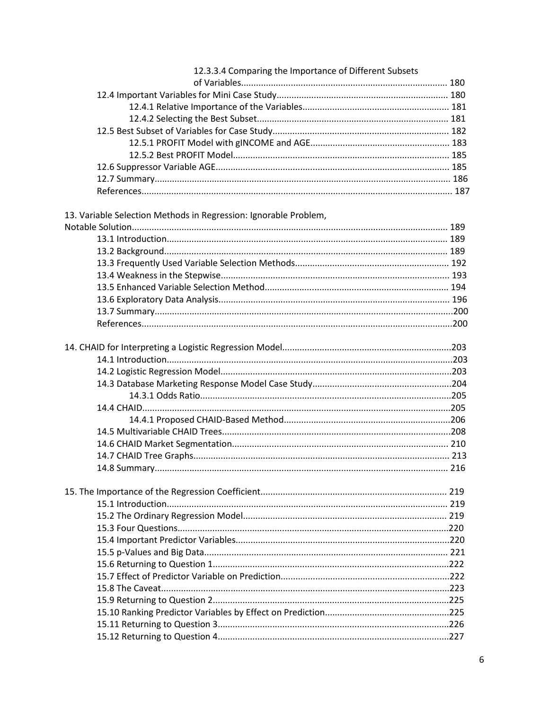| 12.3.3.4 Comparing the Importance of Different Subsets           |  |
|------------------------------------------------------------------|--|
|                                                                  |  |
|                                                                  |  |
|                                                                  |  |
|                                                                  |  |
|                                                                  |  |
|                                                                  |  |
|                                                                  |  |
|                                                                  |  |
|                                                                  |  |
|                                                                  |  |
| 13. Variable Selection Methods in Regression: Ignorable Problem, |  |
|                                                                  |  |
|                                                                  |  |
|                                                                  |  |
|                                                                  |  |
|                                                                  |  |
|                                                                  |  |
|                                                                  |  |
|                                                                  |  |
|                                                                  |  |
|                                                                  |  |
|                                                                  |  |
|                                                                  |  |
|                                                                  |  |
|                                                                  |  |
|                                                                  |  |
|                                                                  |  |
|                                                                  |  |
|                                                                  |  |
|                                                                  |  |
|                                                                  |  |
|                                                                  |  |
|                                                                  |  |
|                                                                  |  |
|                                                                  |  |
|                                                                  |  |
|                                                                  |  |
|                                                                  |  |
|                                                                  |  |
|                                                                  |  |
|                                                                  |  |
|                                                                  |  |
|                                                                  |  |
|                                                                  |  |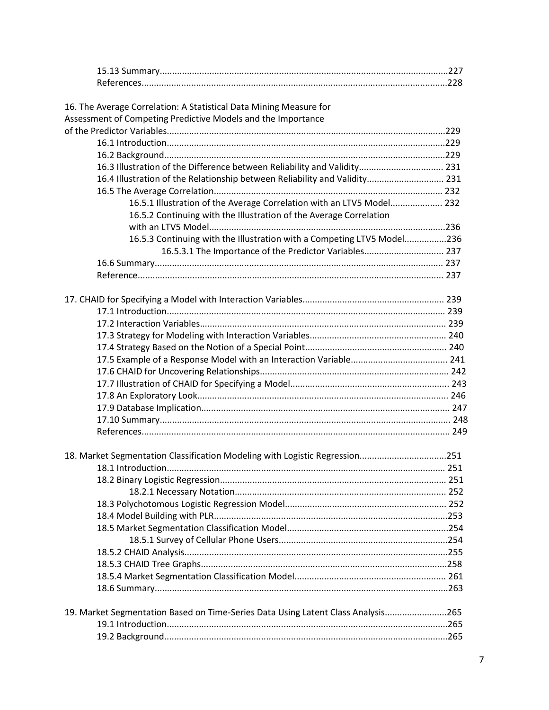| 16. The Average Correlation: A Statistical Data Mining Measure for               |  |
|----------------------------------------------------------------------------------|--|
| Assessment of Competing Predictive Models and the Importance                     |  |
|                                                                                  |  |
|                                                                                  |  |
| 16.3 Illustration of the Difference between Reliability and Validity 231         |  |
| 16.4 Illustration of the Relationship between Reliability and Validity 231       |  |
|                                                                                  |  |
| 16.5.1 Illustration of the Average Correlation with an LTV5 Model 232            |  |
| 16.5.2 Continuing with the Illustration of the Average Correlation               |  |
|                                                                                  |  |
| 16.5.3 Continuing with the Illustration with a Competing LTV5 Model236           |  |
| 16.5.3.1 The Importance of the Predictor Variables 237                           |  |
|                                                                                  |  |
|                                                                                  |  |
|                                                                                  |  |
|                                                                                  |  |
|                                                                                  |  |
|                                                                                  |  |
|                                                                                  |  |
|                                                                                  |  |
|                                                                                  |  |
|                                                                                  |  |
|                                                                                  |  |
|                                                                                  |  |
|                                                                                  |  |
|                                                                                  |  |
|                                                                                  |  |
|                                                                                  |  |
| 18. Market Segmentation Classification Modeling with Logistic Regression251      |  |
|                                                                                  |  |
|                                                                                  |  |
|                                                                                  |  |
|                                                                                  |  |
|                                                                                  |  |
|                                                                                  |  |
|                                                                                  |  |
|                                                                                  |  |
|                                                                                  |  |
|                                                                                  |  |
|                                                                                  |  |
| 19. Market Segmentation Based on Time-Series Data Using Latent Class Analysis265 |  |
|                                                                                  |  |
|                                                                                  |  |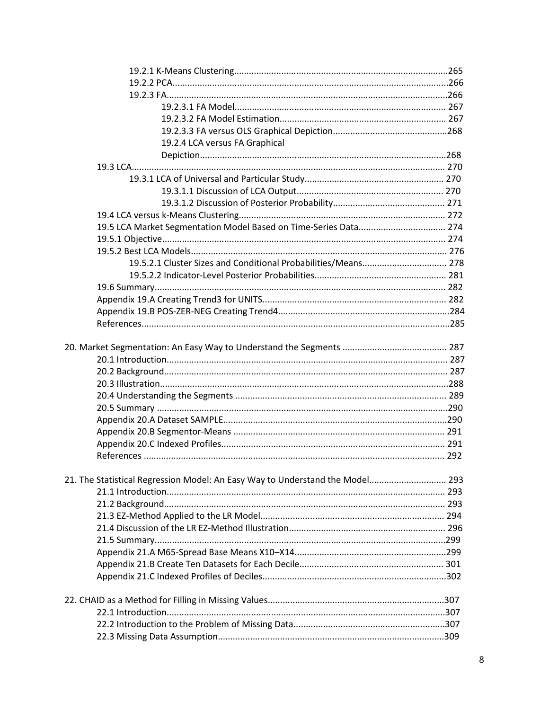| 19.2.4 LCA versus FA Graphical                                                |  |
|-------------------------------------------------------------------------------|--|
|                                                                               |  |
|                                                                               |  |
|                                                                               |  |
|                                                                               |  |
|                                                                               |  |
|                                                                               |  |
| 19.5 LCA Market Segmentation Model Based on Time-Series Data 274              |  |
|                                                                               |  |
|                                                                               |  |
| 19.5.2.1 Cluster Sizes and Conditional Probabilities/Means 278                |  |
|                                                                               |  |
|                                                                               |  |
|                                                                               |  |
|                                                                               |  |
|                                                                               |  |
|                                                                               |  |
|                                                                               |  |
|                                                                               |  |
|                                                                               |  |
|                                                                               |  |
|                                                                               |  |
|                                                                               |  |
|                                                                               |  |
|                                                                               |  |
|                                                                               |  |
|                                                                               |  |
|                                                                               |  |
| 21. The Statistical Regression Model: An Easy Way to Understand the Model 293 |  |
|                                                                               |  |
|                                                                               |  |
|                                                                               |  |
|                                                                               |  |
|                                                                               |  |
|                                                                               |  |
|                                                                               |  |
|                                                                               |  |
|                                                                               |  |
|                                                                               |  |
|                                                                               |  |
|                                                                               |  |
|                                                                               |  |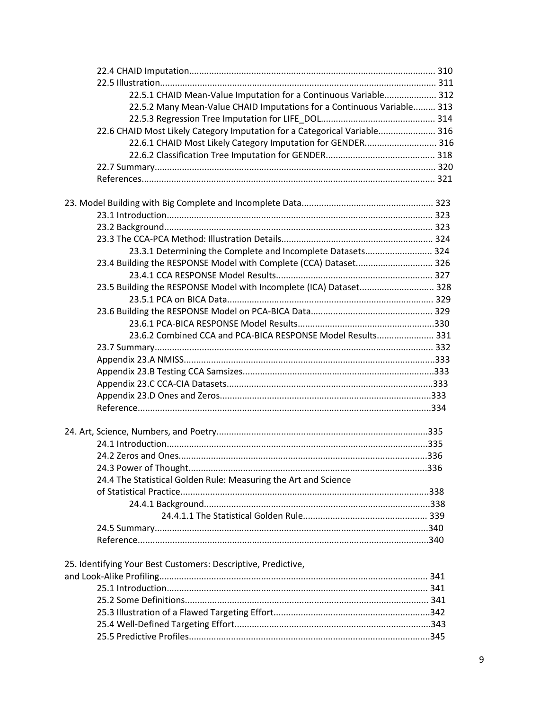| 22.5.1 CHAID Mean-Value Imputation for a Continuous Variable 312          |  |
|---------------------------------------------------------------------------|--|
| 22.5.2 Many Mean-Value CHAID Imputations for a Continuous Variable 313    |  |
|                                                                           |  |
| 22.6 CHAID Most Likely Category Imputation for a Categorical Variable 316 |  |
| 22.6.1 CHAID Most Likely Category Imputation for GENDER 316               |  |
|                                                                           |  |
|                                                                           |  |
|                                                                           |  |
|                                                                           |  |
|                                                                           |  |
|                                                                           |  |
|                                                                           |  |
| 23.3.1 Determining the Complete and Incomplete Datasets 324               |  |
| 23.4 Building the RESPONSE Model with Complete (CCA) Dataset 326          |  |
|                                                                           |  |
| 23.5 Building the RESPONSE Model with Incomplete (ICA) Dataset 328        |  |
|                                                                           |  |
|                                                                           |  |
|                                                                           |  |
| 23.6.2 Combined CCA and PCA-BICA RESPONSE Model Results 331               |  |
|                                                                           |  |
|                                                                           |  |
|                                                                           |  |
|                                                                           |  |
|                                                                           |  |
|                                                                           |  |
|                                                                           |  |
|                                                                           |  |
|                                                                           |  |
|                                                                           |  |
| 24.4 The Statistical Golden Rule: Measuring the Art and Science           |  |
|                                                                           |  |
|                                                                           |  |
|                                                                           |  |
|                                                                           |  |
|                                                                           |  |
| 25. Identifying Your Best Customers: Descriptive, Predictive,             |  |
|                                                                           |  |
|                                                                           |  |
|                                                                           |  |
|                                                                           |  |
|                                                                           |  |
|                                                                           |  |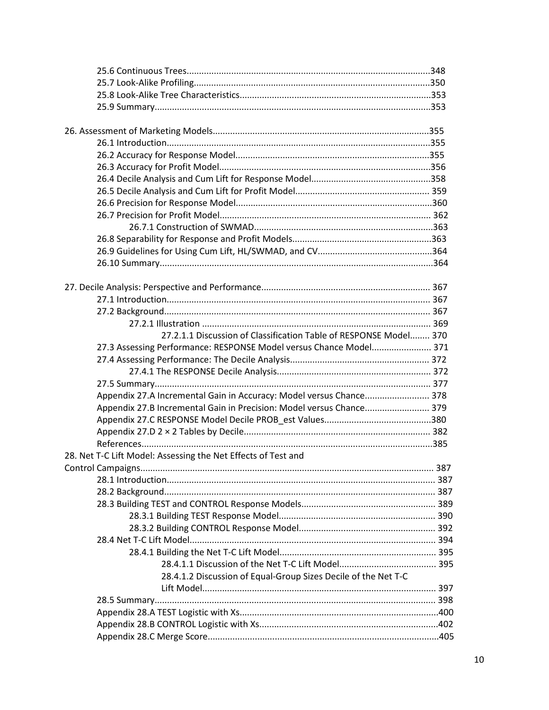| 27.2.1.1 Discussion of Classification Table of RESPONSE Model 370    |  |
|----------------------------------------------------------------------|--|
| 27.3 Assessing Performance: RESPONSE Model versus Chance Model 371   |  |
|                                                                      |  |
|                                                                      |  |
|                                                                      |  |
| Appendix 27.A Incremental Gain in Accuracy: Model versus Chance 378  |  |
| Appendix 27.B Incremental Gain in Precision: Model versus Chance 379 |  |
|                                                                      |  |
|                                                                      |  |
|                                                                      |  |
| 28. Net T-C Lift Model: Assessing the Net Effects of Test and        |  |
|                                                                      |  |
|                                                                      |  |
|                                                                      |  |
|                                                                      |  |
|                                                                      |  |
|                                                                      |  |
|                                                                      |  |
|                                                                      |  |
|                                                                      |  |
| 28.4.1.2 Discussion of Equal-Group Sizes Decile of the Net T-C       |  |
|                                                                      |  |
|                                                                      |  |
|                                                                      |  |
|                                                                      |  |
|                                                                      |  |
|                                                                      |  |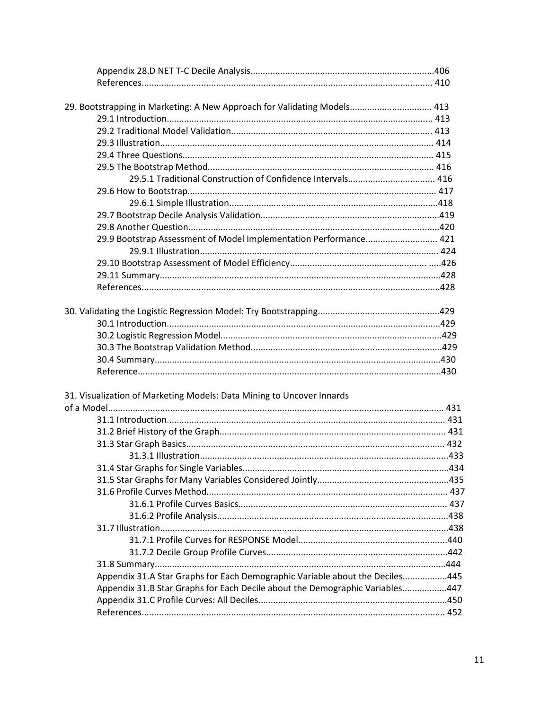| 29. Bootstrapping in Marketing: A New Approach for Validating Models 413     |  |
|------------------------------------------------------------------------------|--|
|                                                                              |  |
|                                                                              |  |
|                                                                              |  |
|                                                                              |  |
|                                                                              |  |
|                                                                              |  |
|                                                                              |  |
|                                                                              |  |
|                                                                              |  |
|                                                                              |  |
| 29.9 Bootstrap Assessment of Model Implementation Performance 421            |  |
|                                                                              |  |
|                                                                              |  |
|                                                                              |  |
|                                                                              |  |
|                                                                              |  |
|                                                                              |  |
|                                                                              |  |
|                                                                              |  |
|                                                                              |  |
|                                                                              |  |
|                                                                              |  |
|                                                                              |  |
| 31. Visualization of Marketing Models: Data Mining to Uncover Innards        |  |
|                                                                              |  |
|                                                                              |  |
|                                                                              |  |
|                                                                              |  |
|                                                                              |  |
|                                                                              |  |
|                                                                              |  |
|                                                                              |  |
|                                                                              |  |
|                                                                              |  |
|                                                                              |  |
|                                                                              |  |
|                                                                              |  |
|                                                                              |  |
| Appendix 31.A Star Graphs for Each Demographic Variable about the Deciles445 |  |
| Appendix 31.B Star Graphs for Each Decile about the Demographic Variables447 |  |
|                                                                              |  |
|                                                                              |  |
|                                                                              |  |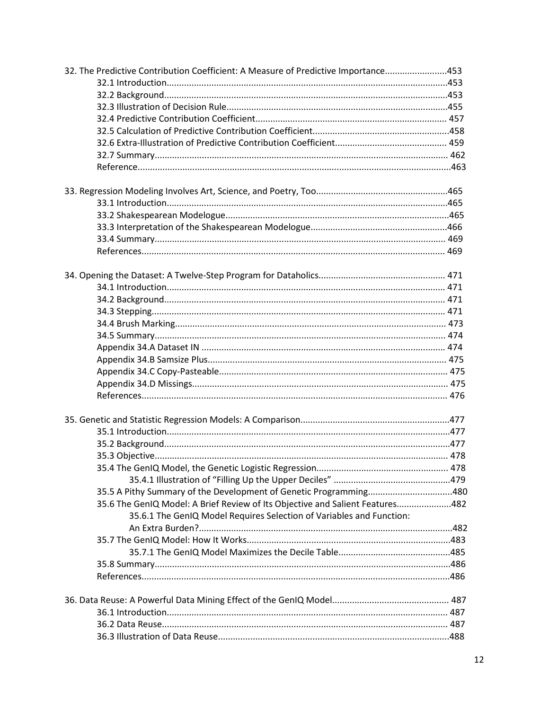| 32. The Predictive Contribution Coefficient: A Measure of Predictive Importance453                                                                 |  |
|----------------------------------------------------------------------------------------------------------------------------------------------------|--|
|                                                                                                                                                    |  |
|                                                                                                                                                    |  |
|                                                                                                                                                    |  |
|                                                                                                                                                    |  |
|                                                                                                                                                    |  |
|                                                                                                                                                    |  |
|                                                                                                                                                    |  |
|                                                                                                                                                    |  |
|                                                                                                                                                    |  |
|                                                                                                                                                    |  |
|                                                                                                                                                    |  |
|                                                                                                                                                    |  |
|                                                                                                                                                    |  |
|                                                                                                                                                    |  |
|                                                                                                                                                    |  |
|                                                                                                                                                    |  |
|                                                                                                                                                    |  |
|                                                                                                                                                    |  |
|                                                                                                                                                    |  |
|                                                                                                                                                    |  |
|                                                                                                                                                    |  |
|                                                                                                                                                    |  |
|                                                                                                                                                    |  |
|                                                                                                                                                    |  |
|                                                                                                                                                    |  |
|                                                                                                                                                    |  |
|                                                                                                                                                    |  |
|                                                                                                                                                    |  |
|                                                                                                                                                    |  |
|                                                                                                                                                    |  |
|                                                                                                                                                    |  |
|                                                                                                                                                    |  |
|                                                                                                                                                    |  |
| 35.5 A Pithy Summary of the Development of Genetic Programming480<br>35.6 The GenIQ Model: A Brief Review of Its Objective and Salient Features482 |  |
|                                                                                                                                                    |  |
| 35.6.1 The GenIQ Model Requires Selection of Variables and Function:                                                                               |  |
|                                                                                                                                                    |  |
|                                                                                                                                                    |  |
|                                                                                                                                                    |  |
|                                                                                                                                                    |  |
|                                                                                                                                                    |  |
|                                                                                                                                                    |  |
|                                                                                                                                                    |  |
|                                                                                                                                                    |  |
|                                                                                                                                                    |  |
|                                                                                                                                                    |  |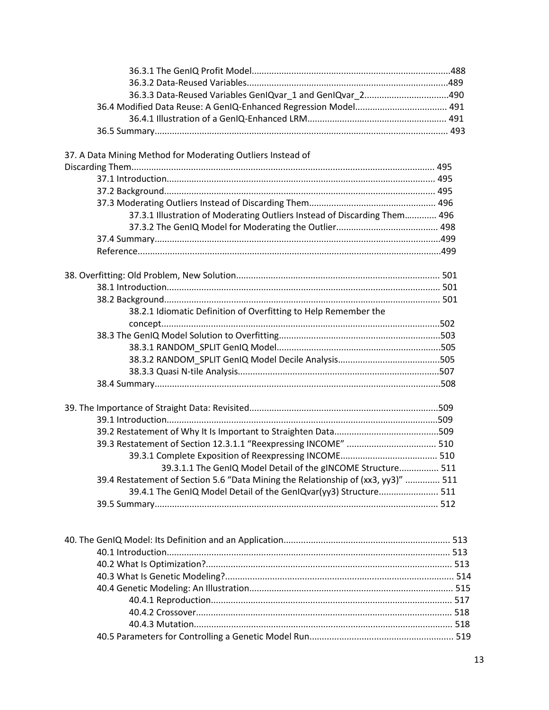| 36.3.3 Data-Reused Variables GenIQvar_1 and GenIQvar_2490                         |  |
|-----------------------------------------------------------------------------------|--|
|                                                                                   |  |
|                                                                                   |  |
|                                                                                   |  |
| 37. A Data Mining Method for Moderating Outliers Instead of                       |  |
|                                                                                   |  |
|                                                                                   |  |
|                                                                                   |  |
|                                                                                   |  |
| 37.3.1 Illustration of Moderating Outliers Instead of Discarding Them 496         |  |
|                                                                                   |  |
|                                                                                   |  |
|                                                                                   |  |
|                                                                                   |  |
|                                                                                   |  |
|                                                                                   |  |
|                                                                                   |  |
| 38.2.1 Idiomatic Definition of Overfitting to Help Remember the                   |  |
|                                                                                   |  |
|                                                                                   |  |
|                                                                                   |  |
|                                                                                   |  |
|                                                                                   |  |
|                                                                                   |  |
|                                                                                   |  |
|                                                                                   |  |
|                                                                                   |  |
|                                                                                   |  |
|                                                                                   |  |
|                                                                                   |  |
| 39.3.1.1 The GenIQ Model Detail of the gINCOME Structure 511                      |  |
| 39.4 Restatement of Section 5.6 "Data Mining the Relationship of (xx3, yy3)"  511 |  |
| 39.4.1 The GenIQ Model Detail of the GenIQvar(yy3) Structure 511                  |  |
|                                                                                   |  |
|                                                                                   |  |
|                                                                                   |  |
|                                                                                   |  |
|                                                                                   |  |
|                                                                                   |  |
|                                                                                   |  |
|                                                                                   |  |
|                                                                                   |  |
|                                                                                   |  |
|                                                                                   |  |
|                                                                                   |  |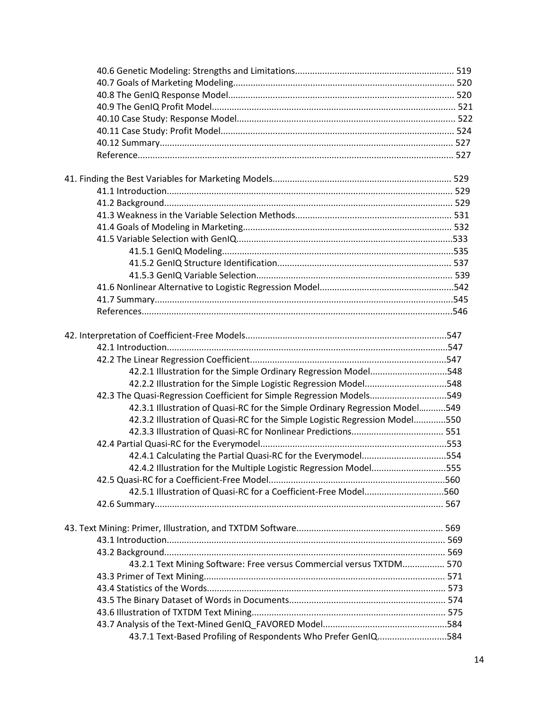| 42.2.1 Illustration for the Simple Ordinary Regression Model548             |  |
|-----------------------------------------------------------------------------|--|
| 42.2.2 Illustration for the Simple Logistic Regression Model548             |  |
| 42.3 The Quasi-Regression Coefficient for Simple Regression Models549       |  |
| 42.3.1 Illustration of Quasi-RC for the Simple Ordinary Regression Model549 |  |
| 42.3.2 Illustration of Quasi-RC for the Simple Logistic Regression Model550 |  |
|                                                                             |  |
|                                                                             |  |
| 42.4.1 Calculating the Partial Quasi-RC for the Everymodel554               |  |
| 42.4.2 Illustration for the Multiple Logistic Regression Model555           |  |
|                                                                             |  |
| 42.5.1 Illustration of Quasi-RC for a Coefficient-Free Model560             |  |
|                                                                             |  |
|                                                                             |  |
|                                                                             |  |
|                                                                             |  |
| 43.2.1 Text Mining Software: Free versus Commercial versus TXTDM 570        |  |
|                                                                             |  |
|                                                                             |  |
|                                                                             |  |
|                                                                             |  |
|                                                                             |  |
| 43.7.1 Text-Based Profiling of Respondents Who Prefer GenIQ584              |  |